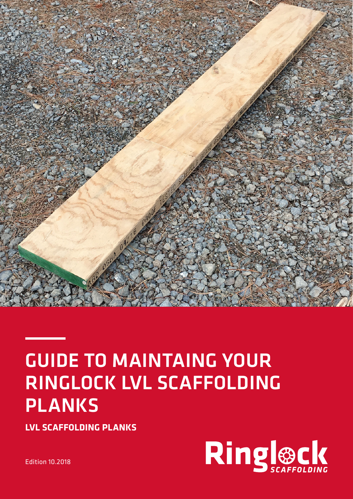

# GUIDE TO MAINTAING YOUR RINGLOCK LVL SCAFFOLDING PLANKS

**LVL SCAFFOLDING PLANKS**



Edition 10.2018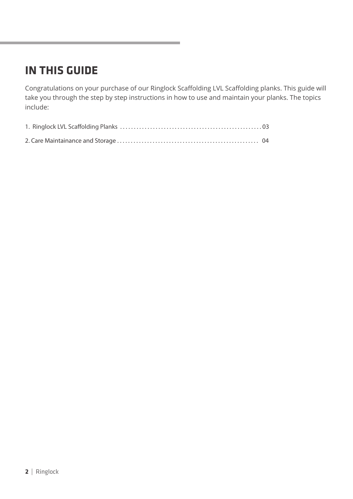### **IN THIS GUIDE**

Congratulations on your purchase of our Ringlock Scaffolding LVL Scaffolding planks. This guide will take you through the step by step instructions in how to use and maintain your planks. The topics include: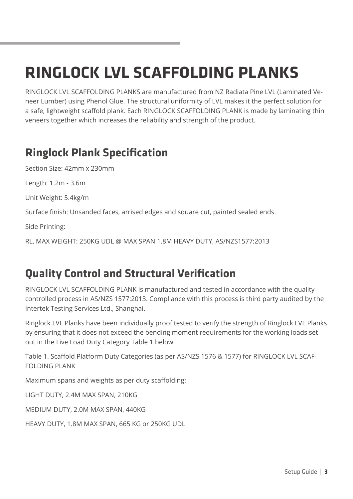## **RINGLOCK LVL SCAFFOLDING PLANKS**

RINGLOCK LVL SCAFFOLDING PLANKS are manufactured from NZ Radiata Pine LVL (Laminated Veneer Lumber) using Phenol Glue. The structural uniformity of LVL makes it the perfect solution for a safe, lightweight scaffold plank. Each RINGLOCK SCAFFOLDING PLANK is made by laminating thin veneers together which increases the reliability and strength of the product.

### **Ringlock Plank Specification**

Section Size: 42mm x 230mm

Length: 1.2m - 3.6m

Unit Weight: 5.4kg/m

Surface finish: Unsanded faces, arrised edges and square cut, painted sealed ends.

Side Printing:

RL, MAX WEIGHT: 250KG UDL @ MAX SPAN 1.8M HEAVY DUTY, AS/NZS1577:2013

### **Quality Control and Structural Verification**

RINGLOCK LVL SCAFFOLDING PLANK is manufactured and tested in accordance with the quality controlled process in AS/NZS 1577:2013. Compliance with this process is third party audited by the Intertek Testing Services Ltd., Shanghai.

Ringlock LVL Planks have been individually proof tested to verify the strength of Ringlock LVL Planks by ensuring that it does not exceed the bending moment requirements for the working loads set out in the Live Load Duty Category Table 1 below.

Table 1. Scaffold Platform Duty Categories (as per AS/NZS 1576 & 1577) for RINGLOCK LVL SCAF-FOLDING PLANK

Maximum spans and weights as per duty scaffolding:

LIGHT DUTY, 2.4M MAX SPAN, 210KG

MEDIUM DUTY, 2.0M MAX SPAN, 440KG

HEAVY DUTY, 1.8M MAX SPAN, 665 KG or 250KG UDL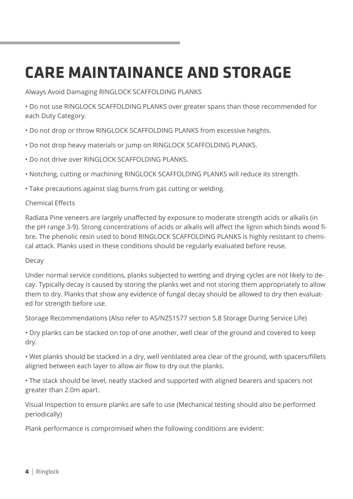## **CARE MAINTAINANCE AND STORAGE**

Always Avoid Damaging RINGLOCK SCAFFOLDING PLANKS

• Do not use RINGLOCK SCAFFOLDING PLANKS over greater spans than those recommended for each Duty Category.

- Do not drop or throw RINGLOCK SCAFFOLDING PLANKS from excessive heights.
- Do not drop heavy materials or jump on RINGLOCK SCAFFOLDING PLANKS.
- Do not drive over RINGLOCK SCAFFOLDING PLANKS.
- Notching, cutting or machining RINGLOCK SCAFFOLDING PLANKS will reduce its strength.
- Take precautions against slag burns from gas cutting or welding.

#### Chemical Effects

Radiata Pine veneers are largely unaffected by exposure to moderate strength acids or alkalis (in the pH range 3-9). Strong concentrations of acids or alkalis will affect the lignin which binds wood fibre. The phenolic resin used to bond RINGLOCK SCAFFOLDING PLANKS is highly resistant to chemical attack. Planks used in these conditions should be regularly evaluated before reuse.

#### Decay

Under normal service conditions, planks subjected to wetting and drying cycles are not likely to decay. Typically decay is caused by storing the planks wet and not storing them appropriately to allow them to dry. Planks that show any evidence of fungal decay should be allowed to dry then evaluated for strength before use.

Storage Recommendations (Also refer to AS/NZS1577 section 5.8 Storage During Service Life)

• Dry planks can be stacked on top of one another, well clear of the ground and covered to keep dry.

• Wet planks should be stacked in a dry, well ventilated area clear of the ground, with spacers/fillets aligned between each layer to allow air flow to dry out the planks.

• The stack should be level, neatly stacked and supported with aligned bearers and spacers not greater than 2.0m apart.

Visual Inspection to ensure planks are safe to use (Mechanical testing should also be performed periodically)

Plank performance is compromised when the following conditions are evident: